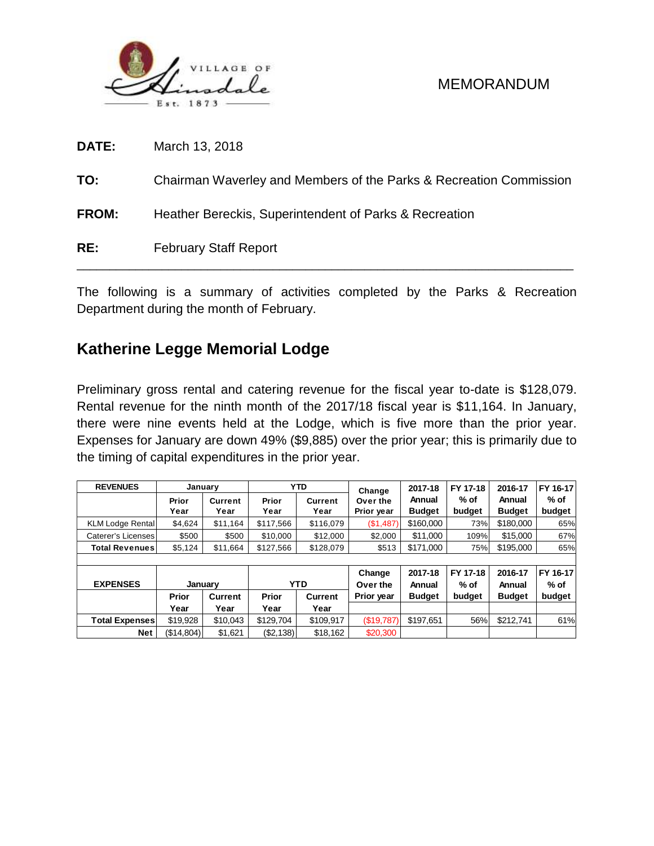

| RE:          | <b>February Staff Report</b>                                       |
|--------------|--------------------------------------------------------------------|
| <b>FROM:</b> | Heather Bereckis, Superintendent of Parks & Recreation             |
| TO:          | Chairman Waverley and Members of the Parks & Recreation Commission |
| <b>DATE:</b> | March 13, 2018                                                     |

The following is a summary of activities completed by the Parks & Recreation Department during the month of February.

# **Katherine Legge Memorial Lodge**

Preliminary gross rental and catering revenue for the fiscal year to-date is \$128,079. Rental revenue for the ninth month of the 2017/18 fiscal year is \$11,164. In January, there were nine events held at the Lodge, which is five more than the prior year. Expenses for January are down 49% (\$9,885) over the prior year; this is primarily due to the timing of capital expenditures in the prior year.

| <b>REVENUES</b>         |            | January  |                        | <b>YTD</b>     | Change     | 2017-18       | FY 17-18 | 2016-17       | FY 16-17 |
|-------------------------|------------|----------|------------------------|----------------|------------|---------------|----------|---------------|----------|
|                         | Prior      | Current  | Prior                  | Current        | Over the   | Annual        | $%$ of   | Annual        | % of     |
|                         | Year       | Year     | Year                   | Year           | Prior year | <b>Budget</b> | budget   | <b>Budget</b> | budget   |
| <b>KLM Lodge Rental</b> | \$4,624    | \$11.164 | \$117,566<br>\$116,079 |                | (\$1,487)  | \$160,000     | 73%      | \$180,000     | 65%      |
| Caterer's Licenses      | \$500      | \$500    | \$10,000               | \$12,000       | \$2,000    | \$11,000      | 109%     | \$15,000      | 67%      |
| <b>Total Revenues</b>   | \$5,124    | \$11,664 | \$127,566<br>\$128,079 |                | \$513      | \$171,000     | 75%      | \$195,000     | 65%      |
|                         |            |          |                        |                |            |               |          |               |          |
|                         |            |          |                        |                | Change     | 2017-18       | FY 17-18 | 2016-17       | FY 16-17 |
| <b>EXPENSES</b>         | January    |          | <b>YTD</b>             |                | Over the   | Annual        | $%$ of   | Annual        | % of     |
|                         | Prior      | Current  | <b>Prior</b>           | <b>Current</b> | Prior year | <b>Budget</b> | budget   | <b>Budget</b> | budget   |
|                         | Year       | Year     | Year                   | Year           |            |               |          |               |          |
| <b>Total Expenses</b>   | \$19,928   | \$10,043 | \$129,704              | \$109,917      | (\$19,787) | \$197,651     | 56%      | \$212,741     | 61%      |
| Net                     | (\$14,804) | \$1,621  | (\$2,138)              | \$18,162       | \$20,300   |               |          |               |          |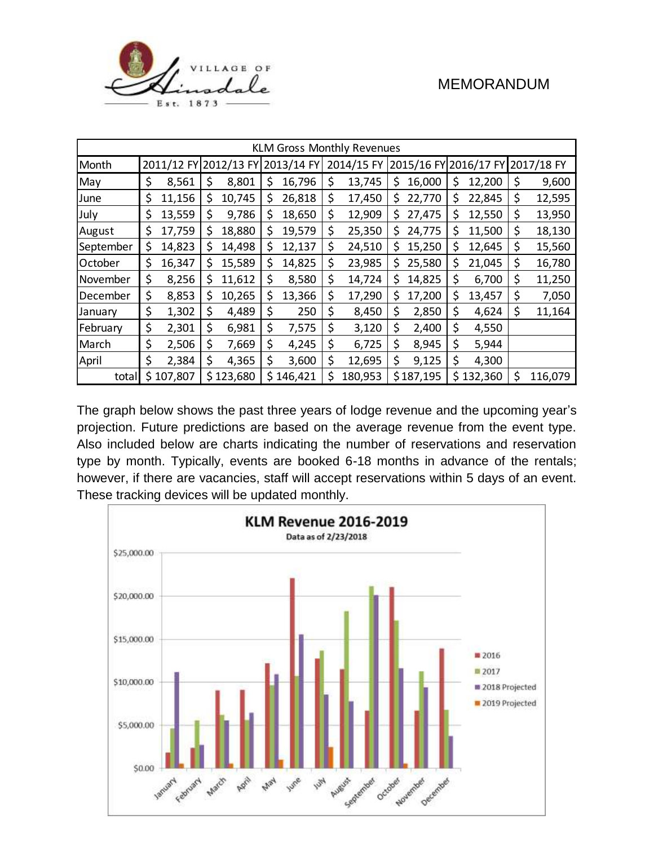

| <b>KLM Gross Monthly Revenues</b> |    |                       |    |           |     |            |                                                |         |    |           |              |               |
|-----------------------------------|----|-----------------------|----|-----------|-----|------------|------------------------------------------------|---------|----|-----------|--------------|---------------|
| Month                             |    | 2011/12 FY 2012/13 FY |    |           |     | 2013/14 FY | 2014/15 FY<br>2015/16 FY 2016/17 FY 2017/18 FY |         |    |           |              |               |
| May                               | \$ | 8,561                 | \$ | 8,801     | \$  | 16,796     | \$                                             | 13,745  | S  | 16,000    | \$<br>12,200 | \$<br>9,600   |
| June                              | \$ | 11,156                | \$ | 10,745    | \$  | 26,818     | \$                                             | 17,450  | S  | 22,770    | \$<br>22,845 | \$<br>12,595  |
| July                              | \$ | 13,559                | \$ | 9,786     | \$  | 18,650     | \$                                             | 12,909  | \$ | 27,475    | \$<br>12,550 | \$<br>13,950  |
| August                            | \$ | 17,759                | \$ | 18,880    | \$  | 19,579     | \$                                             | 25,350  | Ş  | 24,775    | \$<br>11,500 | \$<br>18,130  |
| September                         | \$ | 14,823                | \$ | 14,498    | \$. | 12,137     | \$                                             | 24,510  | \$ | 15,250    | \$<br>12,645 | \$<br>15,560  |
| October                           | \$ | 16,347                | \$ | 15,589    | \$  | 14,825     | \$                                             | 23,985  | \$ | 25,580    | \$<br>21,045 | \$<br>16,780  |
| November                          | \$ | 8,256                 | \$ | 11,612    | \$  | 8,580      | \$                                             | 14,724  | \$ | 14,825    | \$<br>6,700  | \$<br>11,250  |
| December                          | \$ | 8,853                 | \$ | 10,265    | \$  | 13,366     | \$                                             | 17,290  | S  | 17,200    | \$<br>13,457 | \$<br>7,050   |
| January                           | \$ | 1,302                 | \$ | 4,489     | \$  | 250        | \$                                             | 8,450   | \$ | 2,850     | \$<br>4,624  | \$<br>11,164  |
| February                          | \$ | 2,301                 | \$ | 6,981     | \$  | 7,575      | \$                                             | 3,120   | \$ | 2,400     | \$<br>4,550  |               |
| March                             | \$ | 2,506                 | \$ | 7,669     | \$  | 4,245      | \$                                             | 6,725   | \$ | 8,945     | \$<br>5,944  |               |
| April                             | \$ | 2,384                 | \$ | 4,365     | \$  | 3,600      | \$                                             | 12,695  | \$ | 9,125     | \$<br>4,300  |               |
| total                             |    | \$107,807             |    | \$123,680 |     | \$146,421  | \$                                             | 180,953 |    | \$187,195 | \$132,360    | \$<br>116,079 |

The graph below shows the past three years of lodge revenue and the upcoming year's projection. Future predictions are based on the average revenue from the event type. Also included below are charts indicating the number of reservations and reservation type by month. Typically, events are booked 6-18 months in advance of the rentals; however, if there are vacancies, staff will accept reservations within 5 days of an event. These tracking devices will be updated monthly.

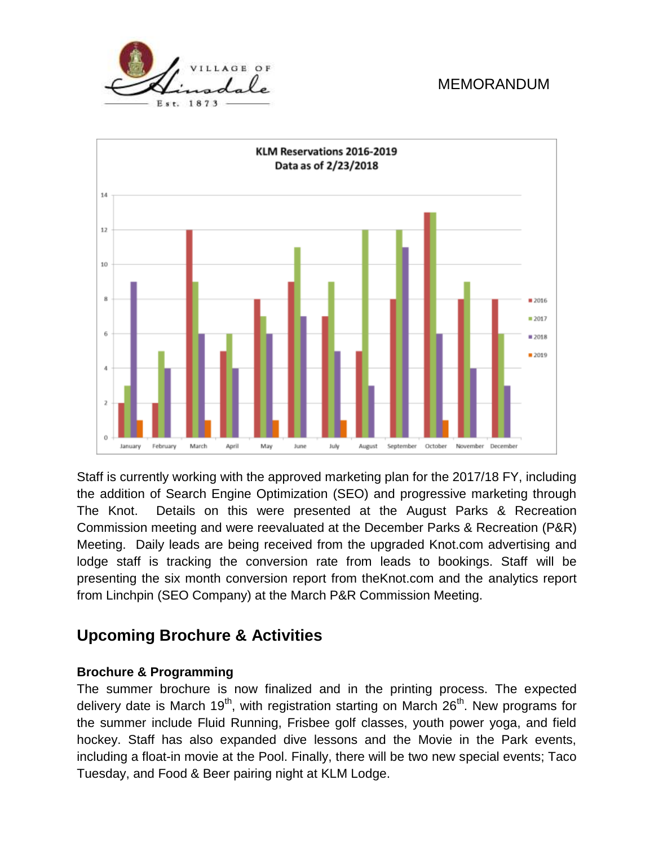



Staff is currently working with the approved marketing plan for the 2017/18 FY, including the addition of Search Engine Optimization (SEO) and progressive marketing through The Knot. Details on this were presented at the August Parks & Recreation Commission meeting and were reevaluated at the December Parks & Recreation (P&R) Meeting. Daily leads are being received from the upgraded Knot.com advertising and lodge staff is tracking the conversion rate from leads to bookings. Staff will be presenting the six month conversion report from theKnot.com and the analytics report from Linchpin (SEO Company) at the March P&R Commission Meeting.

# **Upcoming Brochure & Activities**

#### **Brochure & Programming**

The summer brochure is now finalized and in the printing process. The expected delivery date is March 19<sup>th</sup>, with registration starting on March  $26<sup>th</sup>$ . New programs for the summer include Fluid Running, Frisbee golf classes, youth power yoga, and field hockey. Staff has also expanded dive lessons and the Movie in the Park events, including a float-in movie at the Pool. Finally, there will be two new special events; Taco Tuesday, and Food & Beer pairing night at KLM Lodge.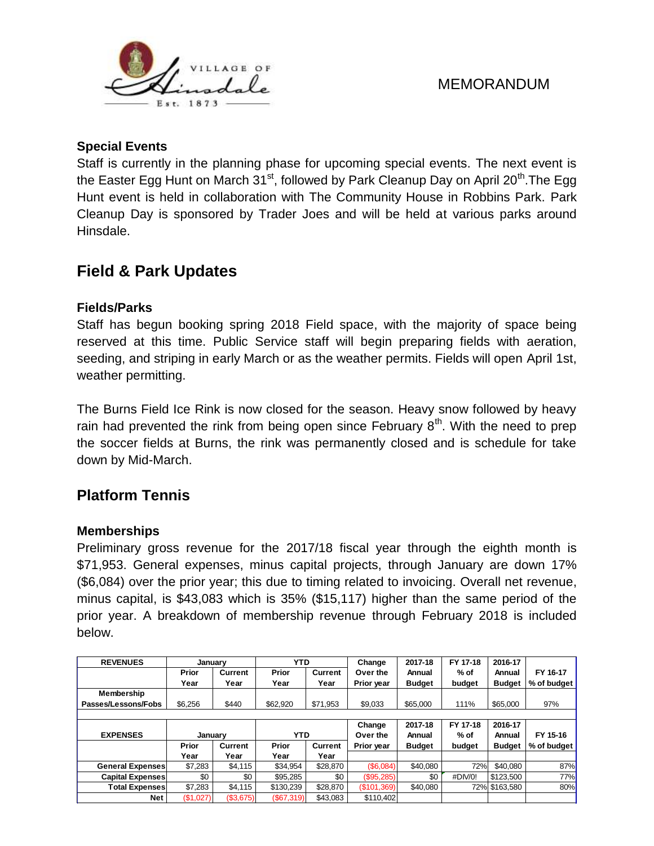

### **Special Events**

Staff is currently in the planning phase for upcoming special events. The next event is the Easter Egg Hunt on March  $31<sup>st</sup>$ , followed by Park Cleanup Day on April 20<sup>th</sup>. The Egg Hunt event is held in collaboration with The Community House in Robbins Park. Park Cleanup Day is sponsored by Trader Joes and will be held at various parks around Hinsdale.

# **Field & Park Updates**

### **Fields/Parks**

Staff has begun booking spring 2018 Field space, with the majority of space being reserved at this time. Public Service staff will begin preparing fields with aeration, seeding, and striping in early March or as the weather permits. Fields will open April 1st, weather permitting.

The Burns Field Ice Rink is now closed for the season. Heavy snow followed by heavy rain had prevented the rink from being open since February  $8<sup>th</sup>$ . With the need to prep the soccer fields at Burns, the rink was permanently closed and is schedule for take down by Mid-March.

# **Platform Tennis**

#### **Memberships**

Preliminary gross revenue for the 2017/18 fiscal year through the eighth month is \$71,953. General expenses, minus capital projects, through January are down 17% (\$6,084) over the prior year; this due to timing related to invoicing. Overall net revenue, minus capital, is \$43,083 which is 35% (\$15,117) higher than the same period of the prior year. A breakdown of membership revenue through February 2018 is included below.

| <b>REVENUES</b>         | Januarv   |                | <b>YTD</b> |          | Change      | 2017-18       | FY 17-18 | 2016-17       |             |  |  |  |
|-------------------------|-----------|----------------|------------|----------|-------------|---------------|----------|---------------|-------------|--|--|--|
|                         | Prior     | <b>Current</b> | Prior      | Current  | Over the    | Annual        | $%$ of   | Annual        | FY 16-17    |  |  |  |
|                         | Year      | Year           | Year       | Year     | Prior year  | <b>Budget</b> | budget   | <b>Budget</b> | % of budget |  |  |  |
| Membership              |           |                |            |          |             |               |          |               |             |  |  |  |
| Passes/Lessons/Fobs     | \$6,256   | \$440          | \$62,920   | \$71.953 | \$9.033     | \$65,000      | 111%     | \$65,000      | 97%         |  |  |  |
|                         |           |                |            |          |             |               |          |               |             |  |  |  |
|                         |           |                |            |          | Change      | 2017-18       | FY 17-18 | 2016-17       |             |  |  |  |
| <b>EXPENSES</b>         | January   |                | <b>YTD</b> |          | Over the    | Annual        | $%$ of   | Annual        | FY 15-16    |  |  |  |
|                         | Prior     | Current        | Prior      | Current  | Prior year  | <b>Budget</b> | budget   | <b>Budget</b> | % of budget |  |  |  |
|                         | Year      | Year           | Year       | Year     |             |               |          |               |             |  |  |  |
| <b>General Expenses</b> | \$7,283   | \$4.115        | \$34.954   | \$28,870 | (S6.084)    | \$40.080      | 72%      | \$40.080      | 87%         |  |  |  |
| <b>Capital Expenses</b> | \$0       | \$0            | \$95.285   | \$0      | (\$95,285)  | \$0           | #DIV/0!  | \$123,500     | 77%         |  |  |  |
| <b>Total Expenses</b>   | \$7,283   | \$4,115        | \$130.239  | \$28,870 | (\$101,369) | \$40.080      |          | 72% \$163.580 | 80%         |  |  |  |
| <b>Net</b>              | (\$1,027) | (\$3,675)      | (\$67,319) | \$43.083 | \$110.402   |               |          |               |             |  |  |  |